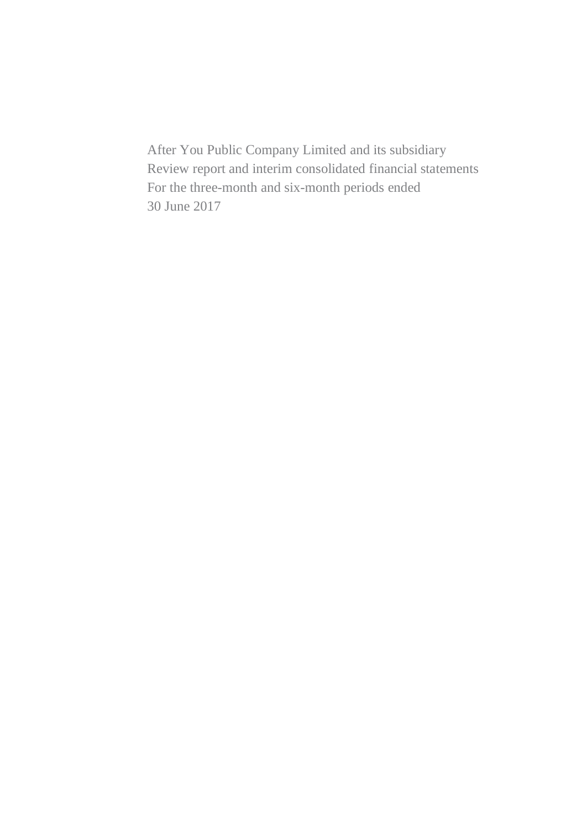After You Public Company Limited and its subsidiary Review report and interim consolidated financial statements For the three-month and six-month periods ended 30 June 2017